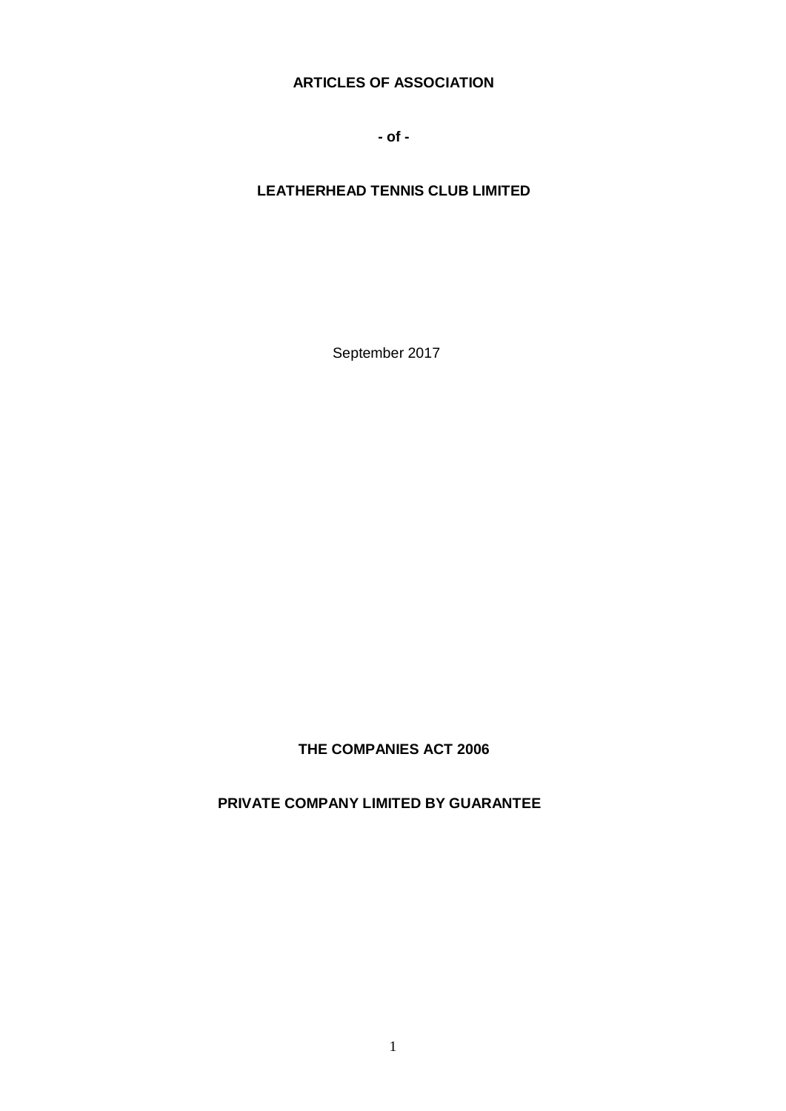# **ARTICLES OF ASSOCIATION**

**- of -**

# **LEATHERHEAD TENNIS CLUB LIMITED**

September 2017

**THE COMPANIES ACT 2006**

**PRIVATE COMPANY LIMITED BY GUARANTEE**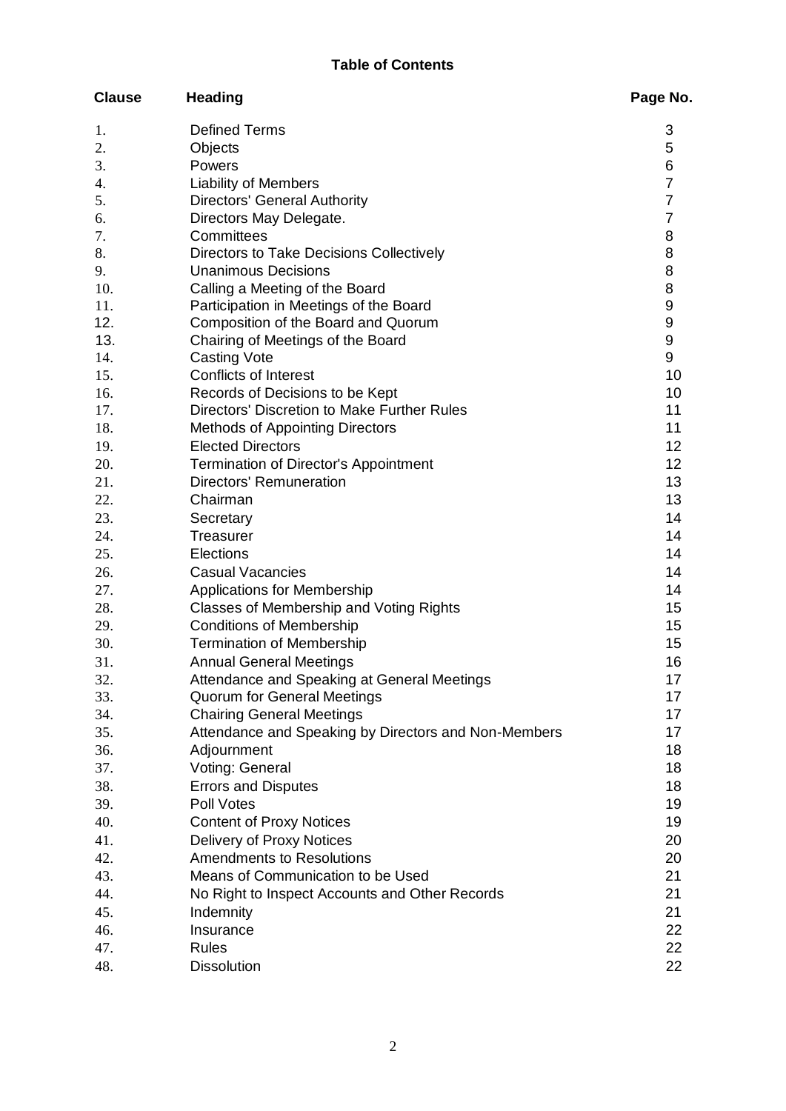| <b>Clause</b> | <b>Heading</b>                                       | Page No.         |
|---------------|------------------------------------------------------|------------------|
| 1.            | <b>Defined Terms</b>                                 | 3                |
| 2.            | Objects                                              | 5                |
| 3.            | Powers                                               | 6                |
| 4.            | <b>Liability of Members</b>                          | $\overline{7}$   |
| 5.            | <b>Directors' General Authority</b>                  | $\overline{7}$   |
| 6.            | Directors May Delegate.                              | $\overline{7}$   |
| 7.            | Committees                                           | 8                |
| 8.            | Directors to Take Decisions Collectively             | 8                |
| 9.            | <b>Unanimous Decisions</b>                           | 8                |
| 10.           | Calling a Meeting of the Board                       | 8                |
| 11.           | Participation in Meetings of the Board               | $\boldsymbol{9}$ |
| 12.           | Composition of the Board and Quorum                  | $\boldsymbol{9}$ |
| 13.           | Chairing of Meetings of the Board                    | $\boldsymbol{9}$ |
| 14.           | <b>Casting Vote</b>                                  | 9                |
| 15.           | Conflicts of Interest                                | 10               |
| 16.           | Records of Decisions to be Kept                      | 10               |
| 17.           | Directors' Discretion to Make Further Rules          | 11               |
| 18.           | <b>Methods of Appointing Directors</b>               | 11               |
| 19.           | <b>Elected Directors</b>                             | 12               |
| 20.           | Termination of Director's Appointment                | 12               |
| 21.           | Directors' Remuneration                              | 13               |
| 22.           | Chairman                                             | 13               |
| 23.           | Secretary                                            | 14               |
| 24.           | <b>Treasurer</b>                                     | 14               |
| 25.           | Elections                                            | 14               |
| 26.           | <b>Casual Vacancies</b>                              | 14               |
| 27.           | <b>Applications for Membership</b>                   | 14               |
| 28.           | Classes of Membership and Voting Rights              | 15               |
| 29.           | <b>Conditions of Membership</b>                      | 15               |
| 30.           | <b>Termination of Membership</b>                     | 15               |
| 31.           | <b>Annual General Meetings</b>                       | 16               |
| 32.           | Attendance and Speaking at General Meetings          | 17               |
| 33.           | <b>Quorum for General Meetings</b>                   | 17               |
| 34.           | <b>Chairing General Meetings</b>                     | 17               |
| 35.           | Attendance and Speaking by Directors and Non-Members | 17               |
| 36.           | Adjournment                                          | 18               |
| 37.           | Voting: General                                      | 18               |
| 38.           | <b>Errors and Disputes</b>                           | 18               |
| 39.           | Poll Votes                                           | 19               |
| 40.           | <b>Content of Proxy Notices</b>                      | 19               |
| 41.           | Delivery of Proxy Notices                            | 20               |
| 42.           | <b>Amendments to Resolutions</b>                     | 20               |
| 43.           | Means of Communication to be Used                    | 21               |
| 44.           | No Right to Inspect Accounts and Other Records       | 21               |
| 45.           | Indemnity                                            | 21               |
| 46.           | Insurance                                            | 22               |
| 47.           | <b>Rules</b>                                         | 22               |
| 48.           | <b>Dissolution</b>                                   | 22               |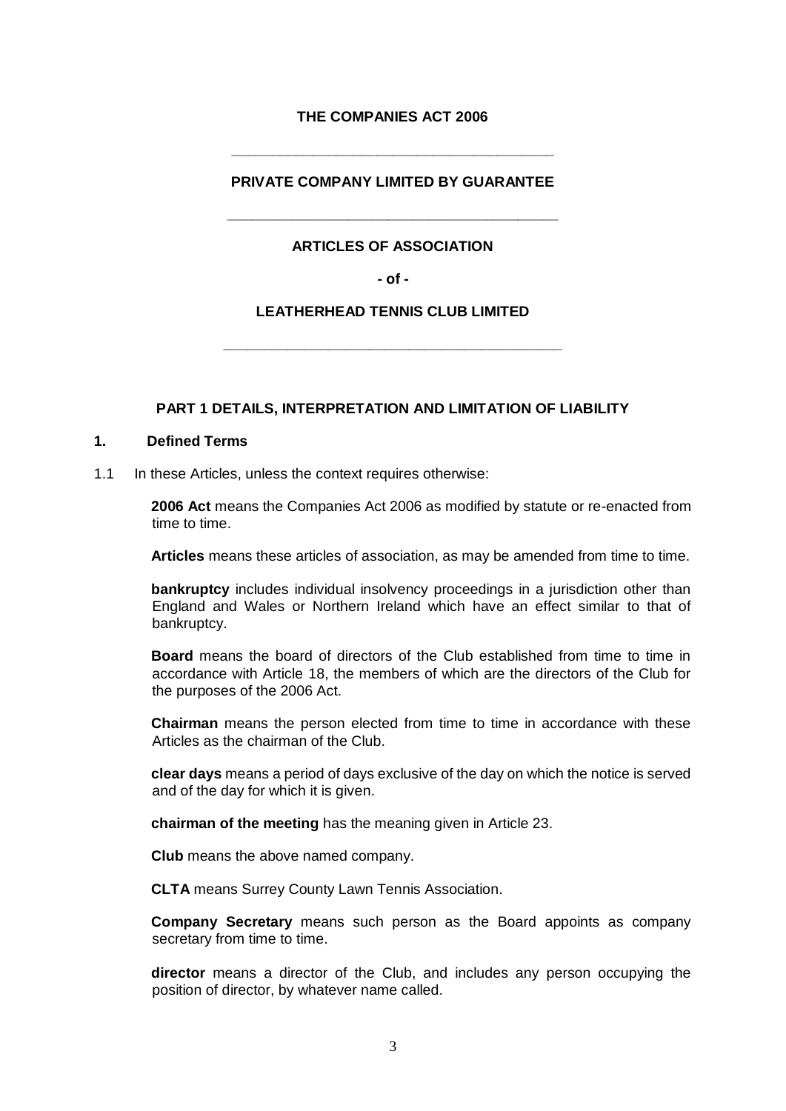# **THE COMPANIES ACT 2006**

**\_\_\_\_\_\_\_\_\_\_\_\_\_\_\_\_\_\_\_\_\_\_\_\_\_\_\_\_\_\_\_\_\_\_\_\_\_\_\_\_** 

# **PRIVATE COMPANY LIMITED BY GUARANTEE**

### **ARTICLES OF ASSOCIATION**

**\_\_\_\_\_\_\_\_\_\_\_\_\_\_\_\_\_\_\_\_\_\_\_\_\_\_\_\_\_\_\_\_\_\_\_\_\_\_\_\_\_** 

**- of -**

### **LEATHERHEAD TENNIS CLUB LIMITED**

**\_\_\_\_\_\_\_\_\_\_\_\_\_\_\_\_\_\_\_\_\_\_\_\_\_\_\_\_\_\_\_\_\_\_\_\_\_\_\_\_\_\_** 

### **PART 1 DETAILS, INTERPRETATION AND LIMITATION OF LIABILITY**

#### **1. Defined Terms**

1.1 In these Articles, unless the context requires otherwise:

**2006 Act** means the Companies Act 2006 as modified by statute or re-enacted from time to time.

**Articles** means these articles of association, as may be amended from time to time.

**bankruptcy** includes individual insolvency proceedings in a jurisdiction other than England and Wales or Northern Ireland which have an effect similar to that of bankruptcy.

**Board** means the board of directors of the Club established from time to time in accordance with Article 18, the members of which are the directors of the Club for the purposes of the 2006 Act.

**Chairman** means the person elected from time to time in accordance with these Articles as the chairman of the Club.

**clear days** means a period of days exclusive of the day on which the notice is served and of the day for which it is given.

**chairman of the meeting** has the meaning given in Article 23.

**Club** means the above named company.

**CLTA** means Surrey County Lawn Tennis Association.

**Company Secretary** means such person as the Board appoints as company secretary from time to time.

**director** means a director of the Club, and includes any person occupying the position of director, by whatever name called.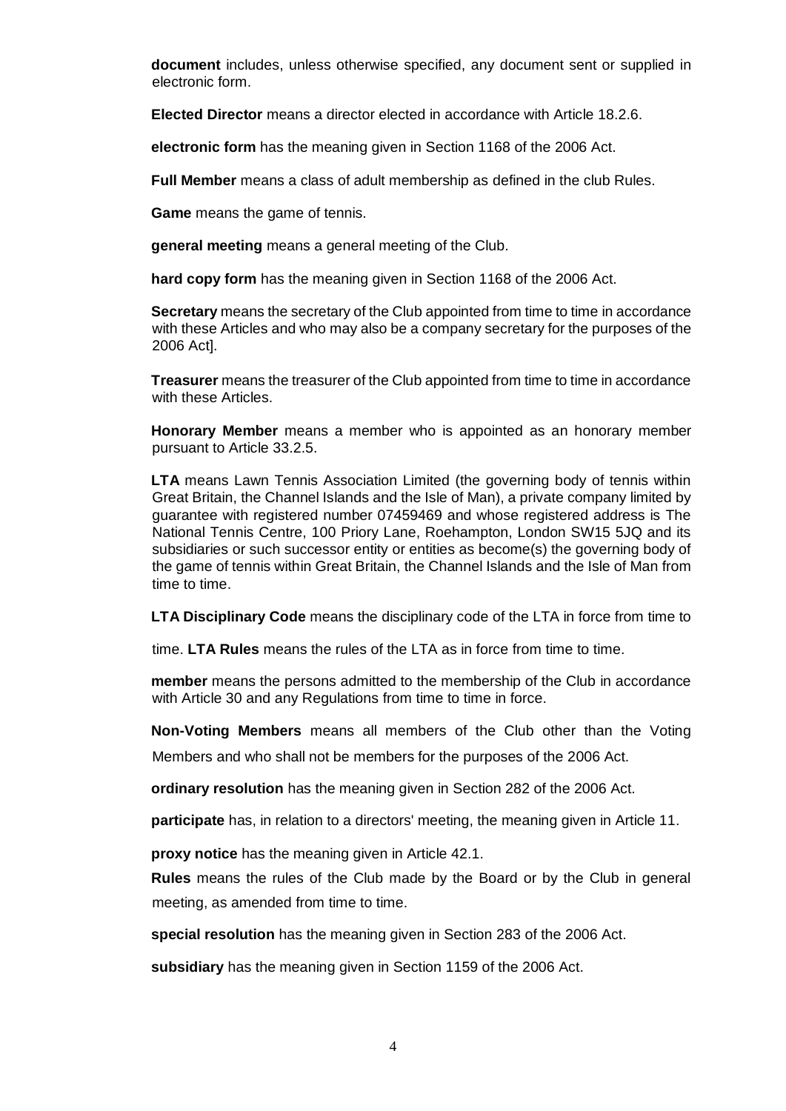**document** includes, unless otherwise specified, any document sent or supplied in electronic form.

**Elected Director** means a director elected in accordance with Article 18.2.6.

**electronic form** has the meaning given in Section 1168 of the 2006 Act.

**Full Member** means a class of adult membership as defined in the club Rules.

**Game** means the game of tennis.

**general meeting** means a general meeting of the Club.

**hard copy form** has the meaning given in Section 1168 of the 2006 Act.

**Secretary** means the secretary of the Club appointed from time to time in accordance with these Articles and who may also be a company secretary for the purposes of the 2006 Act].

**Treasurer** means the treasurer of the Club appointed from time to time in accordance with these Articles.

**Honorary Member** means a member who is appointed as an honorary member pursuant to Article 33.2.5.

**LTA** means Lawn Tennis Association Limited (the governing body of tennis within Great Britain, the Channel Islands and the Isle of Man), a private company limited by guarantee with registered number 07459469 and whose registered address is The National Tennis Centre, 100 Priory Lane, Roehampton, London SW15 5JQ and its subsidiaries or such successor entity or entities as become(s) the governing body of the game of tennis within Great Britain, the Channel Islands and the Isle of Man from time to time.

**LTA Disciplinary Code** means the disciplinary code of the LTA in force from time to

time. **LTA Rules** means the rules of the LTA as in force from time to time.

**member** means the persons admitted to the membership of the Club in accordance with Article 30 and any Regulations from time to time in force.

**Non-Voting Members** means all members of the Club other than the Voting Members and who shall not be members for the purposes of the 2006 Act.

**ordinary resolution** has the meaning given in Section 282 of the 2006 Act.

**participate** has, in relation to a directors' meeting, the meaning given in Article 11.

**proxy notice** has the meaning given in Article 42.1.

**Rules** means the rules of the Club made by the Board or by the Club in general meeting, as amended from time to time.

**special resolution** has the meaning given in Section 283 of the 2006 Act.

**subsidiary** has the meaning given in Section 1159 of the 2006 Act.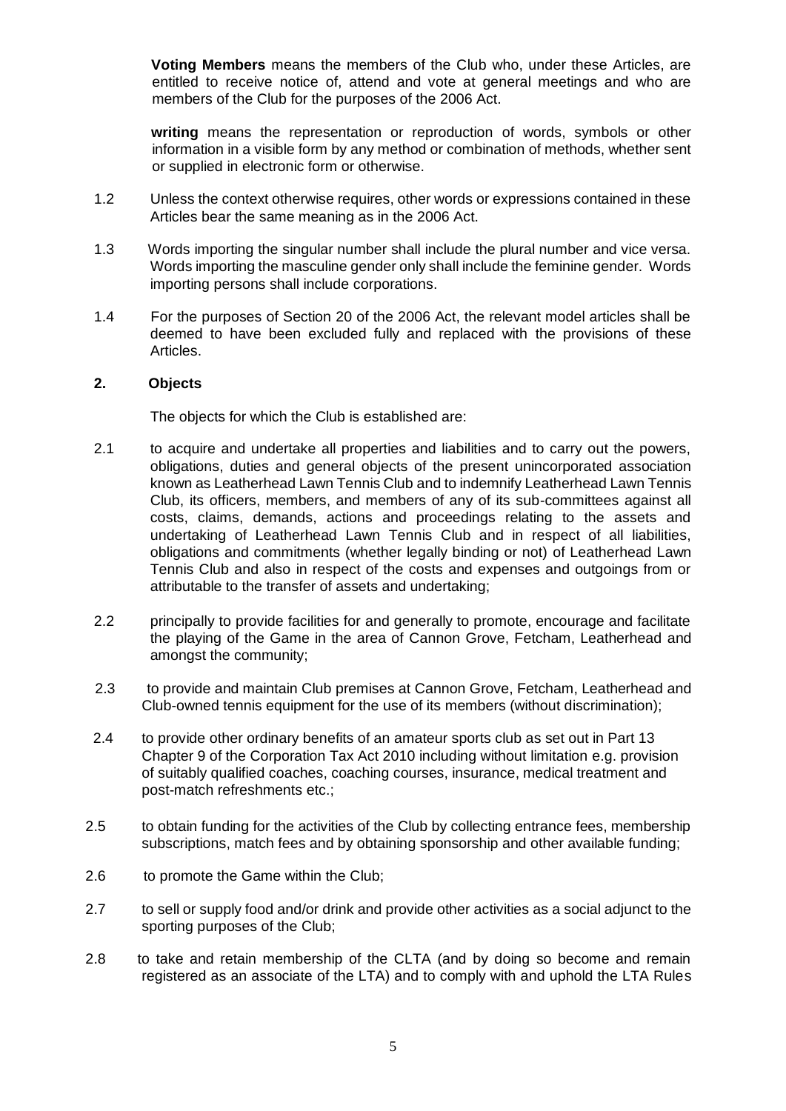**Voting Members** means the members of the Club who, under these Articles, are entitled to receive notice of, attend and vote at general meetings and who are members of the Club for the purposes of the 2006 Act.

**writing** means the representation or reproduction of words, symbols or other information in a visible form by any method or combination of methods, whether sent or supplied in electronic form or otherwise.

- 1.2 Unless the context otherwise requires, other words or expressions contained in these Articles bear the same meaning as in the 2006 Act.
- 1.3 Words importing the singular number shall include the plural number and vice versa. Words importing the masculine gender only shall include the feminine gender. Words importing persons shall include corporations.
- 1.4 For the purposes of Section 20 of the 2006 Act, the relevant model articles shall be deemed to have been excluded fully and replaced with the provisions of these Articles.

### **2. Objects**

The objects for which the Club is established are:

- 2.1 to acquire and undertake all properties and liabilities and to carry out the powers, obligations, duties and general objects of the present unincorporated association known as Leatherhead Lawn Tennis Club and to indemnify Leatherhead Lawn Tennis Club, its officers, members, and members of any of its sub-committees against all costs, claims, demands, actions and proceedings relating to the assets and undertaking of Leatherhead Lawn Tennis Club and in respect of all liabilities, obligations and commitments (whether legally binding or not) of Leatherhead Lawn Tennis Club and also in respect of the costs and expenses and outgoings from or attributable to the transfer of assets and undertaking;
- 2.2 principally to provide facilities for and generally to promote, encourage and facilitate the playing of the Game in the area of Cannon Grove, Fetcham, Leatherhead and amongst the community;
- 2.3 to provide and maintain Club premises at Cannon Grove, Fetcham, Leatherhead and Club-owned tennis equipment for the use of its members (without discrimination);
- 2.4 to provide other ordinary benefits of an amateur sports club as set out in Part 13 Chapter 9 of the Corporation Tax Act 2010 including without limitation e.g. provision of suitably qualified coaches, coaching courses, insurance, medical treatment and post-match refreshments etc.;
- 2.5 to obtain funding for the activities of the Club by collecting entrance fees, membership subscriptions, match fees and by obtaining sponsorship and other available funding;
- 2.6 to promote the Game within the Club;
- 2.7 to sell or supply food and/or drink and provide other activities as a social adjunct to the sporting purposes of the Club;
- 2.8 to take and retain membership of the CLTA (and by doing so become and remain registered as an associate of the LTA) and to comply with and uphold the LTA Rules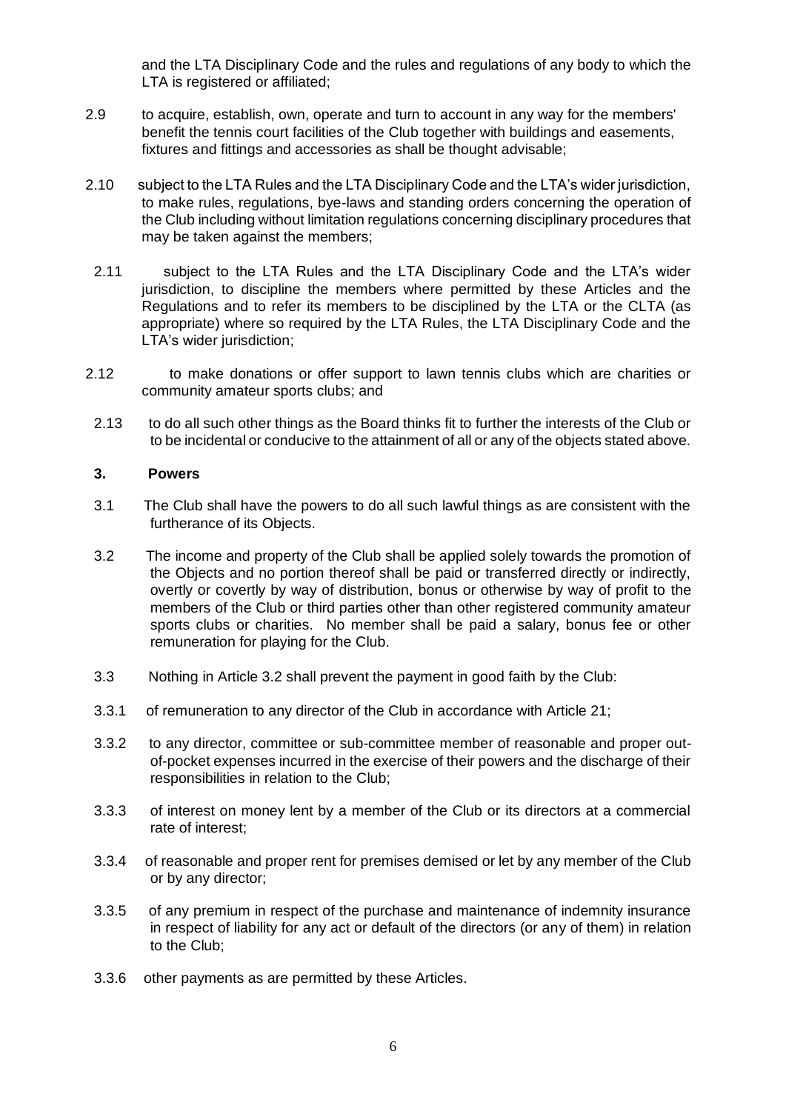and the LTA Disciplinary Code and the rules and regulations of any body to which the LTA is registered or affiliated;

- 2.9 to acquire, establish, own, operate and turn to account in any way for the members' benefit the tennis court facilities of the Club together with buildings and easements, fixtures and fittings and accessories as shall be thought advisable;
- 2.10 subject to the LTA Rules and the LTA Disciplinary Code and the LTA's wider jurisdiction, to make rules, regulations, bye-laws and standing orders concerning the operation of the Club including without limitation regulations concerning disciplinary procedures that may be taken against the members;
- 2.11 subject to the LTA Rules and the LTA Disciplinary Code and the LTA's wider jurisdiction, to discipline the members where permitted by these Articles and the Regulations and to refer its members to be disciplined by the LTA or the CLTA (as appropriate) where so required by the LTA Rules, the LTA Disciplinary Code and the LTA's wider jurisdiction:
- 2.12 to make donations or offer support to lawn tennis clubs which are charities or community amateur sports clubs; and
- 2.13 to do all such other things as the Board thinks fit to further the interests of the Club or to be incidental or conducive to the attainment of all or any of the objects stated above.

### **3. Powers**

- 3.1 The Club shall have the powers to do all such lawful things as are consistent with the furtherance of its Objects.
- 3.2 The income and property of the Club shall be applied solely towards the promotion of the Objects and no portion thereof shall be paid or transferred directly or indirectly, overtly or covertly by way of distribution, bonus or otherwise by way of profit to the members of the Club or third parties other than other registered community amateur sports clubs or charities. No member shall be paid a salary, bonus fee or other remuneration for playing for the Club.
- 3.3 Nothing in Article 3.2 shall prevent the payment in good faith by the Club:
- 3.3.1 of remuneration to any director of the Club in accordance with Article 21;
- 3.3.2 to any director, committee or sub-committee member of reasonable and proper outof-pocket expenses incurred in the exercise of their powers and the discharge of their responsibilities in relation to the Club;
- 3.3.3 of interest on money lent by a member of the Club or its directors at a commercial rate of interest;
- 3.3.4 of reasonable and proper rent for premises demised or let by any member of the Club or by any director;
- 3.3.5 of any premium in respect of the purchase and maintenance of indemnity insurance in respect of liability for any act or default of the directors (or any of them) in relation to the Club;
- 3.3.6 other payments as are permitted by these Articles.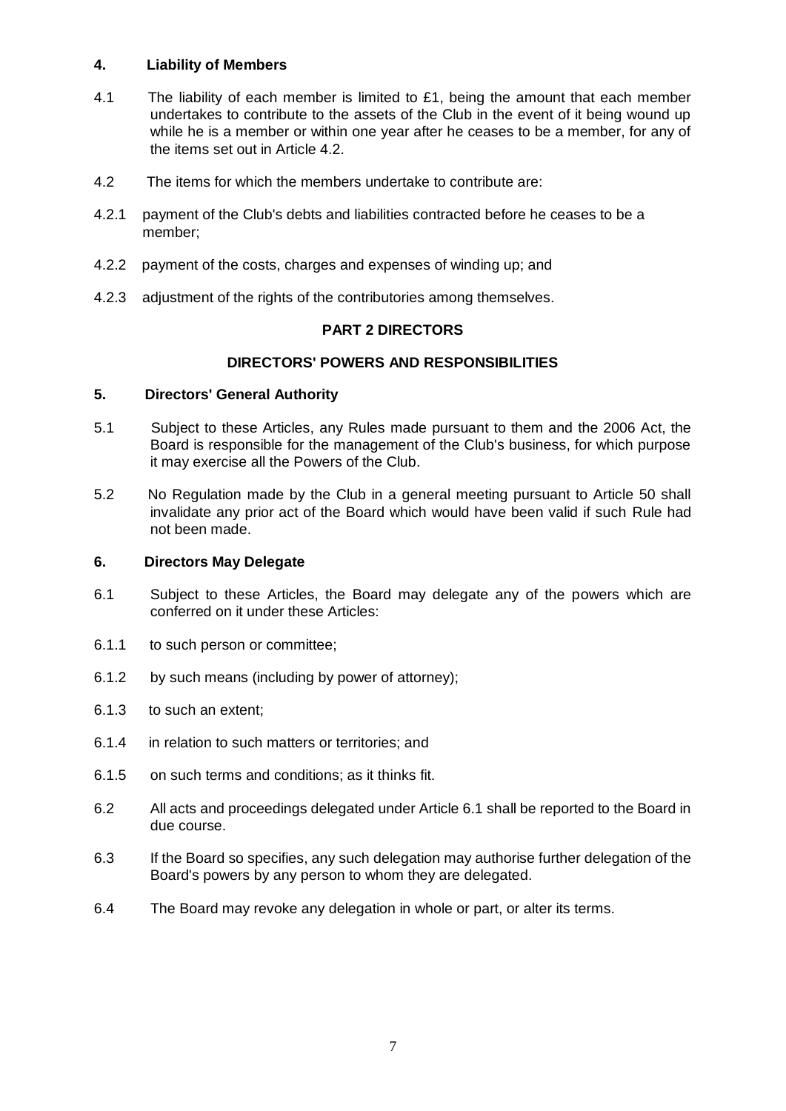# **4. Liability of Members**

- 4.1 The liability of each member is limited to £1, being the amount that each member undertakes to contribute to the assets of the Club in the event of it being wound up while he is a member or within one year after he ceases to be a member, for any of the items set out in Article 4.2.
- 4.2 The items for which the members undertake to contribute are:
- 4.2.1 payment of the Club's debts and liabilities contracted before he ceases to be a member;
- 4.2.2 payment of the costs, charges and expenses of winding up; and
- 4.2.3 adjustment of the rights of the contributories among themselves.

# **PART 2 DIRECTORS**

### **DIRECTORS' POWERS AND RESPONSIBILITIES**

### **5. Directors' General Authority**

- 5.1 Subject to these Articles, any Rules made pursuant to them and the 2006 Act, the Board is responsible for the management of the Club's business, for which purpose it may exercise all the Powers of the Club.
- 5.2 No Regulation made by the Club in a general meeting pursuant to Article 50 shall invalidate any prior act of the Board which would have been valid if such Rule had not been made.

### **6. Directors May Delegate**

- 6.1 Subject to these Articles, the Board may delegate any of the powers which are conferred on it under these Articles:
- 6.1.1 to such person or committee;
- 6.1.2 by such means (including by power of attorney);
- 6.1.3 to such an extent;
- 6.1.4 in relation to such matters or territories; and
- 6.1.5 on such terms and conditions; as it thinks fit.
- 6.2 All acts and proceedings delegated under Article 6.1 shall be reported to the Board in due course.
- 6.3 If the Board so specifies, any such delegation may authorise further delegation of the Board's powers by any person to whom they are delegated.
- 6.4 The Board may revoke any delegation in whole or part, or alter its terms.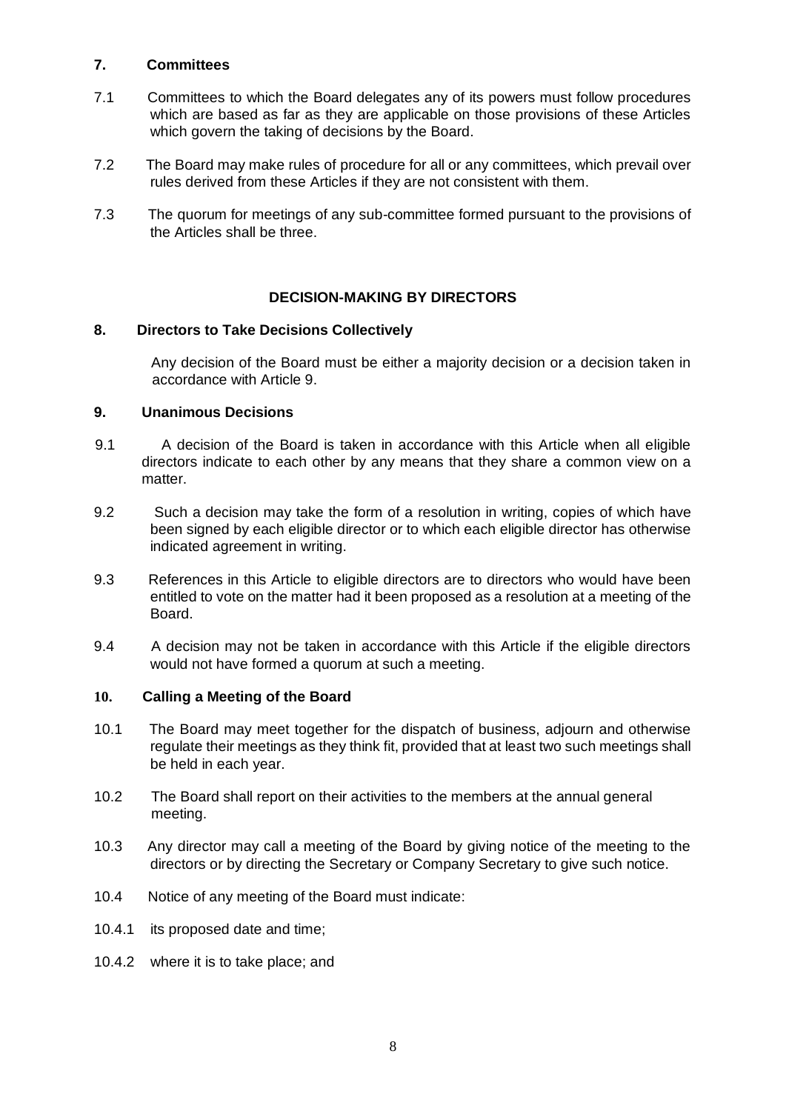# **7. Committees**

- 7.1 Committees to which the Board delegates any of its powers must follow procedures which are based as far as they are applicable on those provisions of these Articles which govern the taking of decisions by the Board.
- 7.2 The Board may make rules of procedure for all or any committees, which prevail over rules derived from these Articles if they are not consistent with them.
- 7.3 The quorum for meetings of any sub-committee formed pursuant to the provisions of the Articles shall be three.

# **DECISION-MAKING BY DIRECTORS**

# **8. Directors to Take Decisions Collectively**

Any decision of the Board must be either a majority decision or a decision taken in accordance with Article 9.

# **9. Unanimous Decisions**

- 9.1 A decision of the Board is taken in accordance with this Article when all eligible directors indicate to each other by any means that they share a common view on a matter.
- 9.2 Such a decision may take the form of a resolution in writing, copies of which have been signed by each eligible director or to which each eligible director has otherwise indicated agreement in writing.
- 9.3 References in this Article to eligible directors are to directors who would have been entitled to vote on the matter had it been proposed as a resolution at a meeting of the Board.
- 9.4 A decision may not be taken in accordance with this Article if the eligible directors would not have formed a quorum at such a meeting.

# **10. Calling a Meeting of the Board**

- 10.1 The Board may meet together for the dispatch of business, adjourn and otherwise regulate their meetings as they think fit, provided that at least two such meetings shall be held in each year.
- 10.2 The Board shall report on their activities to the members at the annual general meeting.
- 10.3 Any director may call a meeting of the Board by giving notice of the meeting to the directors or by directing the Secretary or Company Secretary to give such notice.
- 10.4 Notice of any meeting of the Board must indicate:
- 10.4.1 its proposed date and time;
- 10.4.2 where it is to take place; and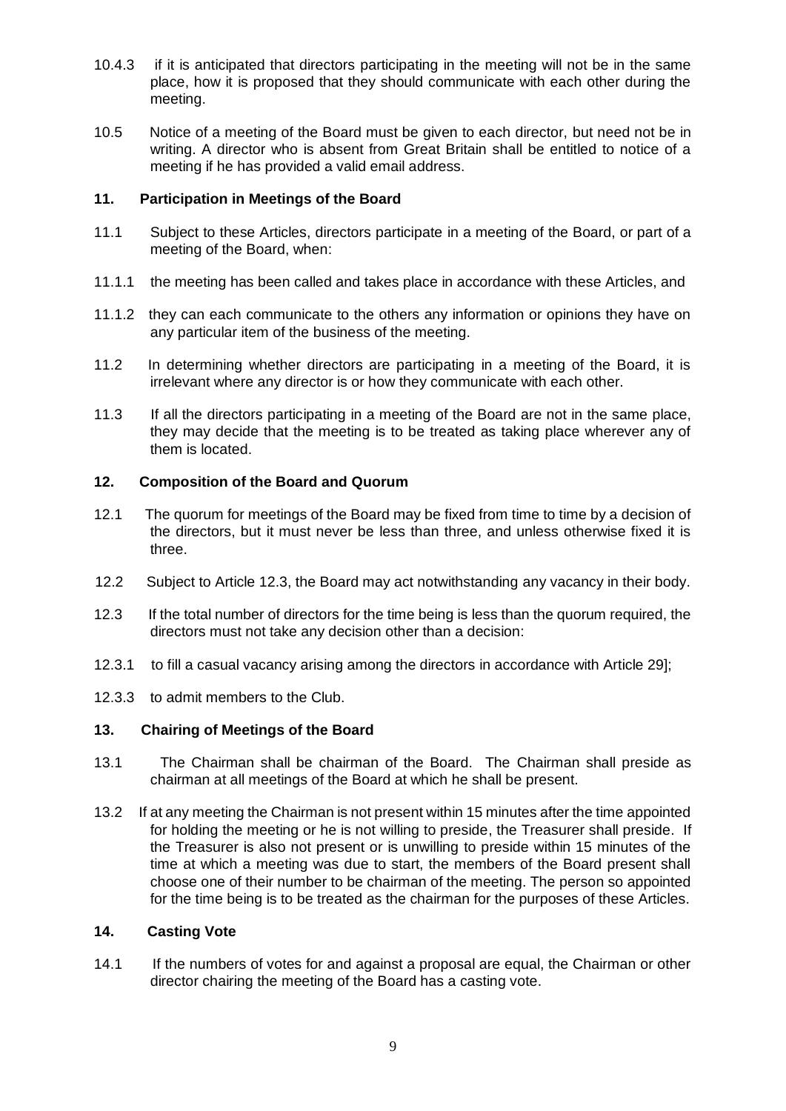- 10.4.3 if it is anticipated that directors participating in the meeting will not be in the same place, how it is proposed that they should communicate with each other during the meeting.
- 10.5 Notice of a meeting of the Board must be given to each director, but need not be in writing. A director who is absent from Great Britain shall be entitled to notice of a meeting if he has provided a valid email address.

# **11. Participation in Meetings of the Board**

- 11.1 Subject to these Articles, directors participate in a meeting of the Board, or part of a meeting of the Board, when:
- 11.1.1 the meeting has been called and takes place in accordance with these Articles, and
- 11.1.2 they can each communicate to the others any information or opinions they have on any particular item of the business of the meeting.
- 11.2 In determining whether directors are participating in a meeting of the Board, it is irrelevant where any director is or how they communicate with each other.
- 11.3 If all the directors participating in a meeting of the Board are not in the same place, they may decide that the meeting is to be treated as taking place wherever any of them is located.

# **12. Composition of the Board and Quorum**

- 12.1 The quorum for meetings of the Board may be fixed from time to time by a decision of the directors, but it must never be less than three, and unless otherwise fixed it is three.
- 12.2 Subject to Article 12.3, the Board may act notwithstanding any vacancy in their body.
- 12.3 If the total number of directors for the time being is less than the quorum required, the directors must not take any decision other than a decision:
- 12.3.1 to fill a casual vacancy arising among the directors in accordance with Article 29];
- 12.3.3 to admit members to the Club.

# **13. Chairing of Meetings of the Board**

- 13.1 The Chairman shall be chairman of the Board. The Chairman shall preside as chairman at all meetings of the Board at which he shall be present.
- 13.2 If at any meeting the Chairman is not present within 15 minutes after the time appointed for holding the meeting or he is not willing to preside, the Treasurer shall preside. If the Treasurer is also not present or is unwilling to preside within 15 minutes of the time at which a meeting was due to start, the members of the Board present shall choose one of their number to be chairman of the meeting. The person so appointed for the time being is to be treated as the chairman for the purposes of these Articles.

# **14. Casting Vote**

14.1 If the numbers of votes for and against a proposal are equal, the Chairman or other director chairing the meeting of the Board has a casting vote.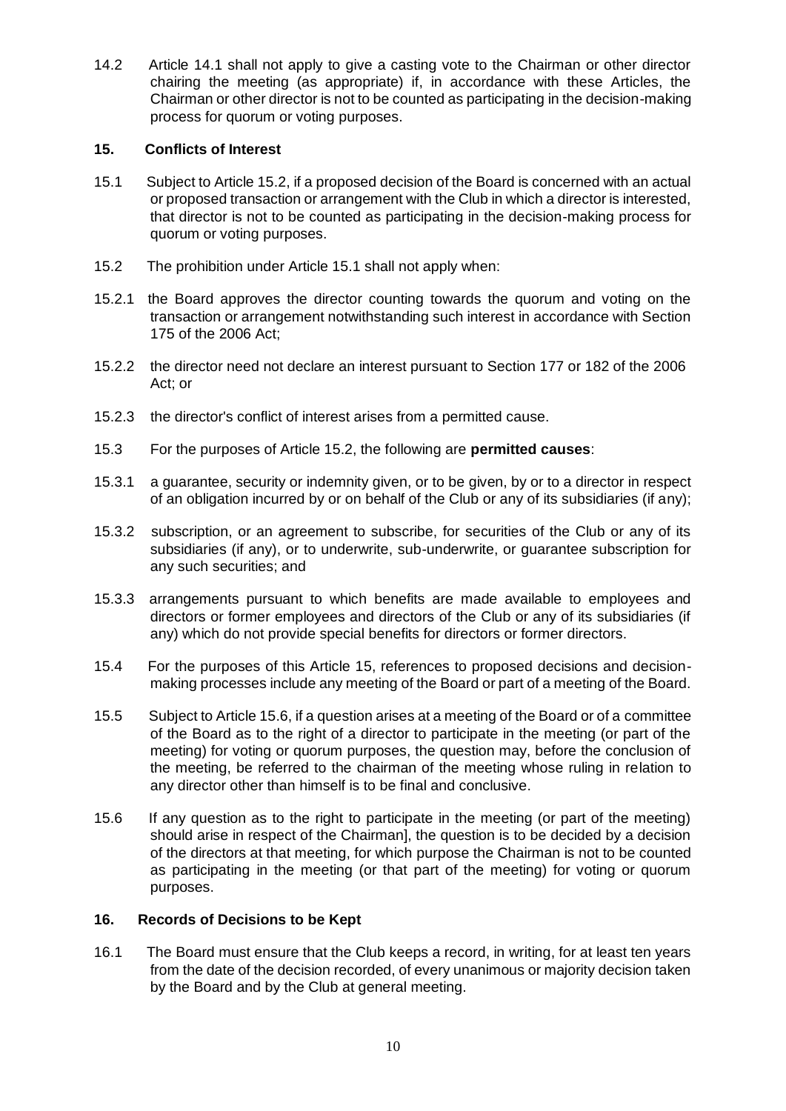14.2 Article 14.1 shall not apply to give a casting vote to the Chairman or other director chairing the meeting (as appropriate) if, in accordance with these Articles, the Chairman or other director is not to be counted as participating in the decision-making process for quorum or voting purposes.

# **15. Conflicts of Interest**

- 15.1 Subject to Article 15.2, if a proposed decision of the Board is concerned with an actual or proposed transaction or arrangement with the Club in which a director is interested, that director is not to be counted as participating in the decision-making process for quorum or voting purposes.
- 15.2 The prohibition under Article 15.1 shall not apply when:
- 15.2.1 the Board approves the director counting towards the quorum and voting on the transaction or arrangement notwithstanding such interest in accordance with Section 175 of the 2006 Act;
- 15.2.2 the director need not declare an interest pursuant to Section 177 or 182 of the 2006 Act; or
- 15.2.3 the director's conflict of interest arises from a permitted cause.
- 15.3 For the purposes of Article 15.2, the following are **permitted causes**:
- 15.3.1 a guarantee, security or indemnity given, or to be given, by or to a director in respect of an obligation incurred by or on behalf of the Club or any of its subsidiaries (if any);
- 15.3.2 subscription, or an agreement to subscribe, for securities of the Club or any of its subsidiaries (if any), or to underwrite, sub-underwrite, or guarantee subscription for any such securities; and
- 15.3.3 arrangements pursuant to which benefits are made available to employees and directors or former employees and directors of the Club or any of its subsidiaries (if any) which do not provide special benefits for directors or former directors.
- 15.4 For the purposes of this Article 15, references to proposed decisions and decisionmaking processes include any meeting of the Board or part of a meeting of the Board.
- 15.5 Subject to Article 15.6, if a question arises at a meeting of the Board or of a committee of the Board as to the right of a director to participate in the meeting (or part of the meeting) for voting or quorum purposes, the question may, before the conclusion of the meeting, be referred to the chairman of the meeting whose ruling in relation to any director other than himself is to be final and conclusive.
- 15.6 If any question as to the right to participate in the meeting (or part of the meeting) should arise in respect of the Chairman], the question is to be decided by a decision of the directors at that meeting, for which purpose the Chairman is not to be counted as participating in the meeting (or that part of the meeting) for voting or quorum purposes.

# **16. Records of Decisions to be Kept**

16.1 The Board must ensure that the Club keeps a record, in writing, for at least ten years from the date of the decision recorded, of every unanimous or majority decision taken by the Board and by the Club at general meeting.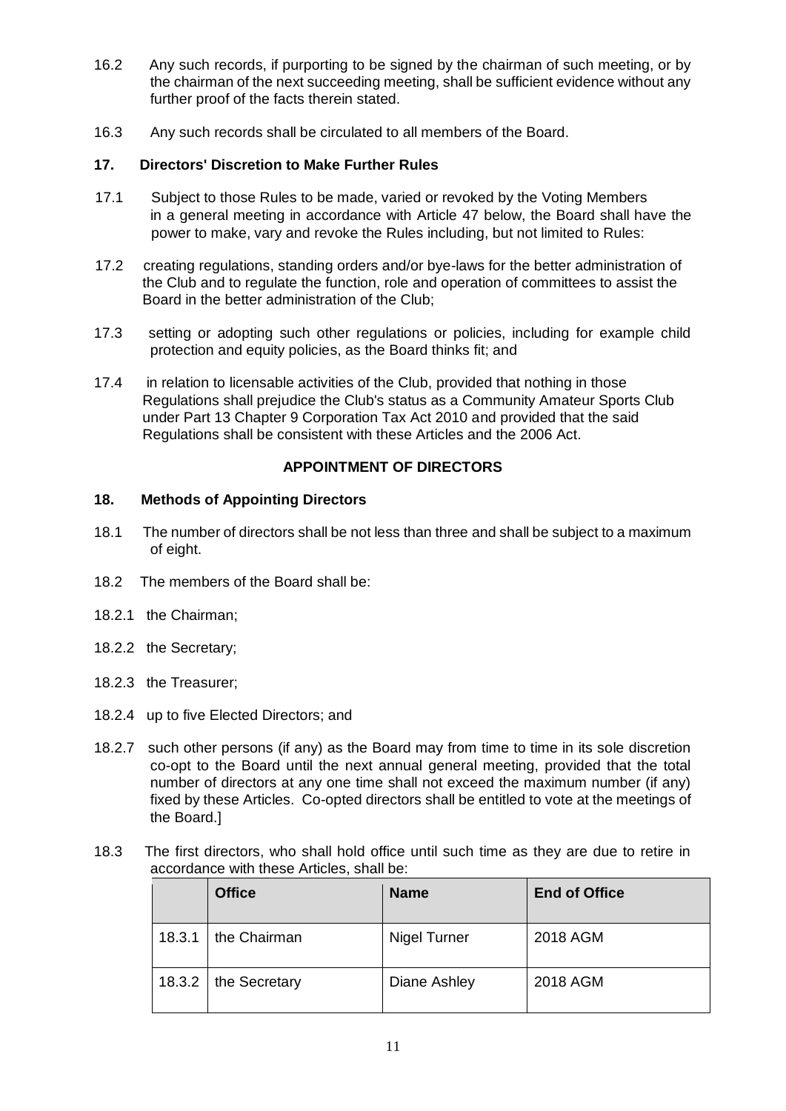- 16.2 Any such records, if purporting to be signed by the chairman of such meeting, or by the chairman of the next succeeding meeting, shall be sufficient evidence without any further proof of the facts therein stated.
- 16.3 Any such records shall be circulated to all members of the Board.

# **17. Directors' Discretion to Make Further Rules**

- 17.1 Subject to those Rules to be made, varied or revoked by the Voting Members in a general meeting in accordance with Article 47 below, the Board shall have the power to make, vary and revoke the Rules including, but not limited to Rules:
- 17.2 creating regulations, standing orders and/or bye-laws for the better administration of the Club and to regulate the function, role and operation of committees to assist the Board in the better administration of the Club;
- 17.3 setting or adopting such other regulations or policies, including for example child protection and equity policies, as the Board thinks fit; and
- 17.4 in relation to licensable activities of the Club, provided that nothing in those Regulations shall prejudice the Club's status as a Community Amateur Sports Club under Part 13 Chapter 9 Corporation Tax Act 2010 and provided that the said Regulations shall be consistent with these Articles and the 2006 Act.

# **APPOINTMENT OF DIRECTORS**

# **18. Methods of Appointing Directors**

- 18.1 The number of directors shall be not less than three and shall be subject to a maximum of eight.
- 18.2 The members of the Board shall be:
- 18.2.1 the Chairman;
- 18.2.2 the Secretary;
- 18.2.3 the Treasurer;
- 18.2.4 up to five Elected Directors; and
- 18.2.7 such other persons (if any) as the Board may from time to time in its sole discretion co-opt to the Board until the next annual general meeting, provided that the total number of directors at any one time shall not exceed the maximum number (if any) fixed by these Articles. Co-opted directors shall be entitled to vote at the meetings of the Board.]
- 18.3 The first directors, who shall hold office until such time as they are due to retire in accordance with these Articles, shall be:

|        | <b>Office</b> | <b>Name</b>  | <b>End of Office</b> |
|--------|---------------|--------------|----------------------|
| 18.3.1 | the Chairman  | Nigel Turner | 2018 AGM             |
| 18.3.2 | the Secretary | Diane Ashley | 2018 AGM             |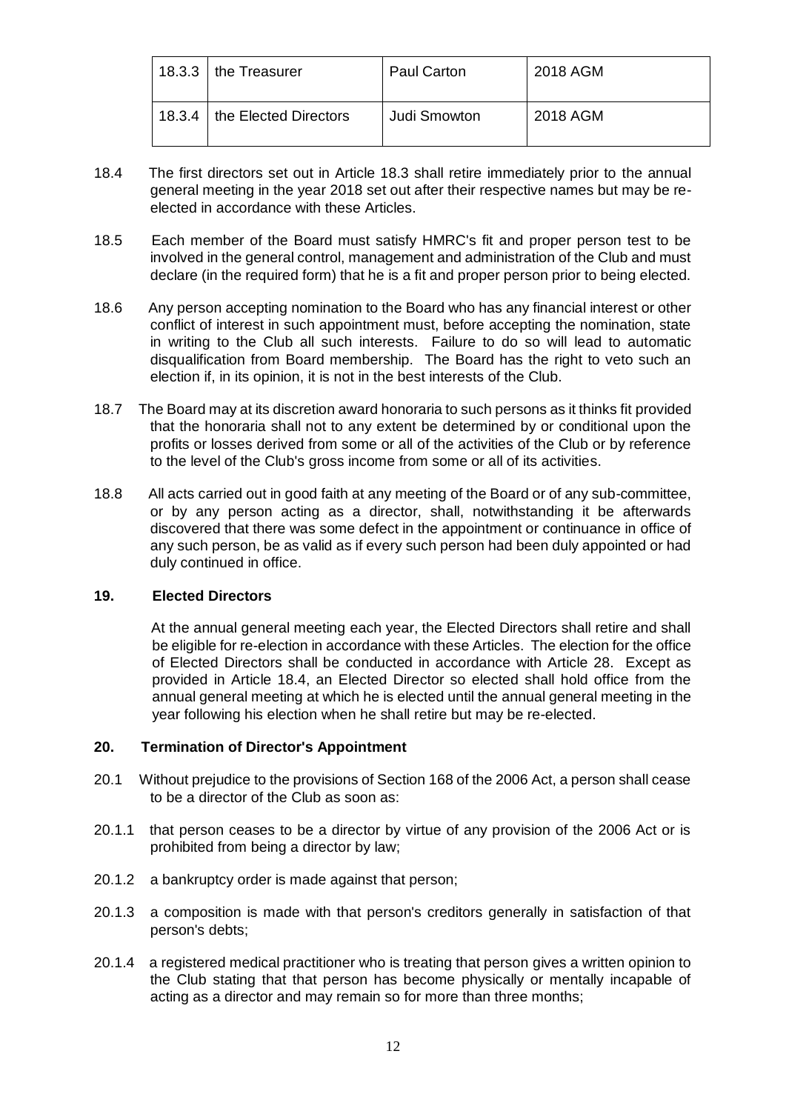| 18.3.3 | I the Treasurer       | <b>Paul Carton</b> | 2018 AGM |
|--------|-----------------------|--------------------|----------|
| 18.3.4 | the Elected Directors | Judi Smowton       | 2018 AGM |

- 18.4 The first directors set out in Article 18.3 shall retire immediately prior to the annual general meeting in the year 2018 set out after their respective names but may be reelected in accordance with these Articles.
- 18.5 Each member of the Board must satisfy HMRC's fit and proper person test to be involved in the general control, management and administration of the Club and must declare (in the required form) that he is a fit and proper person prior to being elected.
- 18.6 Any person accepting nomination to the Board who has any financial interest or other conflict of interest in such appointment must, before accepting the nomination, state in writing to the Club all such interests. Failure to do so will lead to automatic disqualification from Board membership. The Board has the right to veto such an election if, in its opinion, it is not in the best interests of the Club.
- 18.7 The Board may at its discretion award honoraria to such persons as it thinks fit provided that the honoraria shall not to any extent be determined by or conditional upon the profits or losses derived from some or all of the activities of the Club or by reference to the level of the Club's gross income from some or all of its activities.
- 18.8 All acts carried out in good faith at any meeting of the Board or of any sub-committee, or by any person acting as a director, shall, notwithstanding it be afterwards discovered that there was some defect in the appointment or continuance in office of any such person, be as valid as if every such person had been duly appointed or had duly continued in office.

# **19. Elected Directors**

At the annual general meeting each year, the Elected Directors shall retire and shall be eligible for re-election in accordance with these Articles. The election for the office of Elected Directors shall be conducted in accordance with Article 28. Except as provided in Article 18.4, an Elected Director so elected shall hold office from the annual general meeting at which he is elected until the annual general meeting in the year following his election when he shall retire but may be re-elected.

# **20. Termination of Director's Appointment**

- 20.1 Without prejudice to the provisions of Section 168 of the 2006 Act, a person shall cease to be a director of the Club as soon as:
- 20.1.1 that person ceases to be a director by virtue of any provision of the 2006 Act or is prohibited from being a director by law;
- 20.1.2 a bankruptcy order is made against that person;
- 20.1.3 a composition is made with that person's creditors generally in satisfaction of that person's debts;
- 20.1.4 a registered medical practitioner who is treating that person gives a written opinion to the Club stating that that person has become physically or mentally incapable of acting as a director and may remain so for more than three months;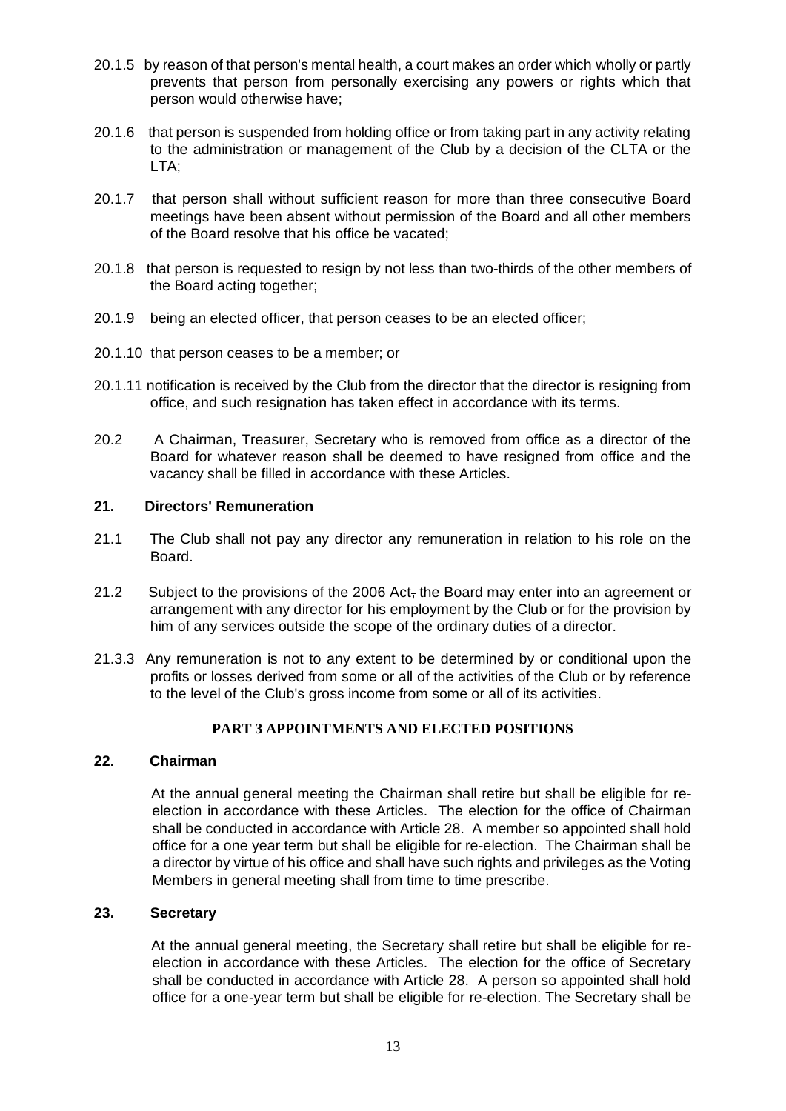- 20.1.5 by reason of that person's mental health, a court makes an order which wholly or partly prevents that person from personally exercising any powers or rights which that person would otherwise have;
- 20.1.6 that person is suspended from holding office or from taking part in any activity relating to the administration or management of the Club by a decision of the CLTA or the LTA;
- 20.1.7 that person shall without sufficient reason for more than three consecutive Board meetings have been absent without permission of the Board and all other members of the Board resolve that his office be vacated;
- 20.1.8 that person is requested to resign by not less than two-thirds of the other members of the Board acting together;
- 20.1.9 being an elected officer, that person ceases to be an elected officer;
- 20.1.10 that person ceases to be a member; or
- 20.1.11 notification is received by the Club from the director that the director is resigning from office, and such resignation has taken effect in accordance with its terms.
- 20.2 A Chairman, Treasurer, Secretary who is removed from office as a director of the Board for whatever reason shall be deemed to have resigned from office and the vacancy shall be filled in accordance with these Articles.

# **21. Directors' Remuneration**

- 21.1 The Club shall not pay any director any remuneration in relation to his role on the Board.
- 21.2 Subject to the provisions of the 2006 Act, the Board may enter into an agreement or arrangement with any director for his employment by the Club or for the provision by him of any services outside the scope of the ordinary duties of a director.
- 21.3.3 Any remuneration is not to any extent to be determined by or conditional upon the profits or losses derived from some or all of the activities of the Club or by reference to the level of the Club's gross income from some or all of its activities.

# **PART 3 APPOINTMENTS AND ELECTED POSITIONS**

# **22. Chairman**

At the annual general meeting the Chairman shall retire but shall be eligible for reelection in accordance with these Articles. The election for the office of Chairman shall be conducted in accordance with Article 28. A member so appointed shall hold office for a one year term but shall be eligible for re-election. The Chairman shall be a director by virtue of his office and shall have such rights and privileges as the Voting Members in general meeting shall from time to time prescribe.

### **23. Secretary**

At the annual general meeting, the Secretary shall retire but shall be eligible for reelection in accordance with these Articles. The election for the office of Secretary shall be conducted in accordance with Article 28. A person so appointed shall hold office for a one-year term but shall be eligible for re-election. The Secretary shall be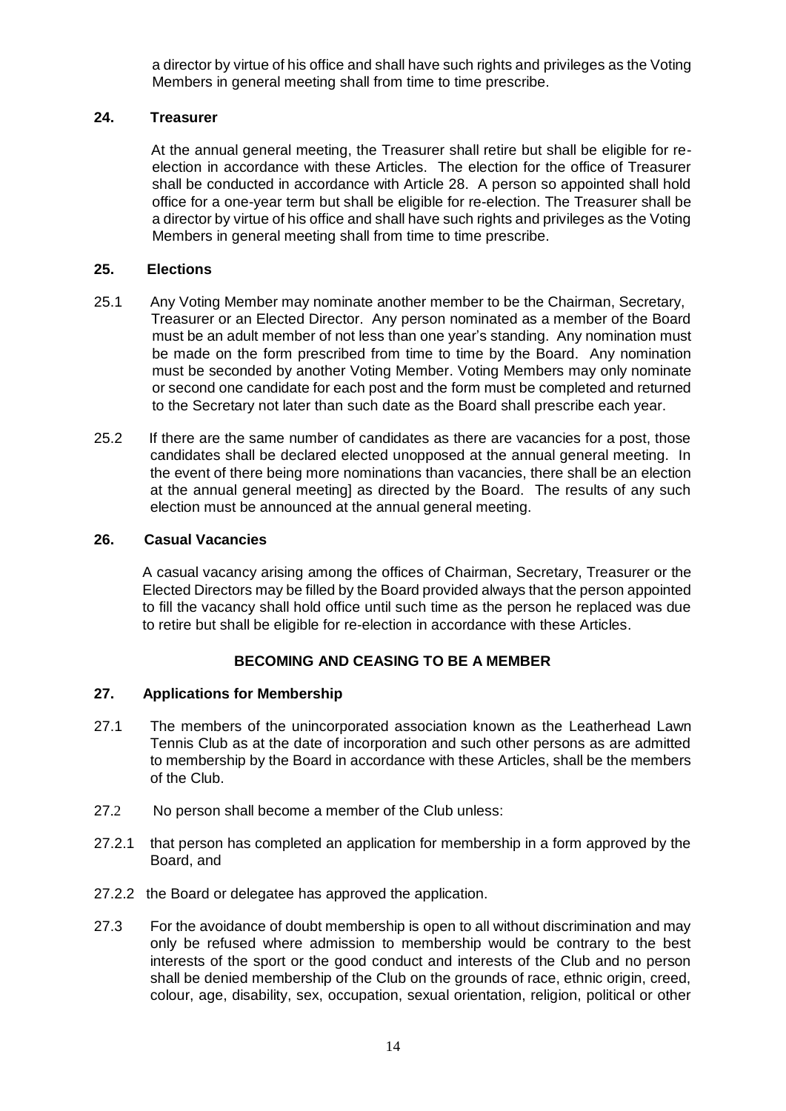a director by virtue of his office and shall have such rights and privileges as the Voting Members in general meeting shall from time to time prescribe.

# **24. Treasurer**

At the annual general meeting, the Treasurer shall retire but shall be eligible for reelection in accordance with these Articles. The election for the office of Treasurer shall be conducted in accordance with Article 28. A person so appointed shall hold office for a one-year term but shall be eligible for re-election. The Treasurer shall be a director by virtue of his office and shall have such rights and privileges as the Voting Members in general meeting shall from time to time prescribe.

# **25. Elections**

- 25.1 Any Voting Member may nominate another member to be the Chairman, Secretary, Treasurer or an Elected Director. Any person nominated as a member of the Board must be an adult member of not less than one year's standing. Any nomination must be made on the form prescribed from time to time by the Board. Any nomination must be seconded by another Voting Member. Voting Members may only nominate or second one candidate for each post and the form must be completed and returned to the Secretary not later than such date as the Board shall prescribe each year.
- 25.2 If there are the same number of candidates as there are vacancies for a post, those candidates shall be declared elected unopposed at the annual general meeting. In the event of there being more nominations than vacancies, there shall be an election at the annual general meeting] as directed by the Board. The results of any such election must be announced at the annual general meeting.

# **26. Casual Vacancies**

A casual vacancy arising among the offices of Chairman, Secretary, Treasurer or the Elected Directors may be filled by the Board provided always that the person appointed to fill the vacancy shall hold office until such time as the person he replaced was due to retire but shall be eligible for re-election in accordance with these Articles.

# **BECOMING AND CEASING TO BE A MEMBER**

# **27. Applications for Membership**

- 27.1 The members of the unincorporated association known as the Leatherhead Lawn Tennis Club as at the date of incorporation and such other persons as are admitted to membership by the Board in accordance with these Articles, shall be the members of the Club.
- 27.2 No person shall become a member of the Club unless:
- 27.2.1 that person has completed an application for membership in a form approved by the Board, and
- 27.2.2 the Board or delegatee has approved the application.
- 27.3 For the avoidance of doubt membership is open to all without discrimination and may only be refused where admission to membership would be contrary to the best interests of the sport or the good conduct and interests of the Club and no person shall be denied membership of the Club on the grounds of race, ethnic origin, creed, colour, age, disability, sex, occupation, sexual orientation, religion, political or other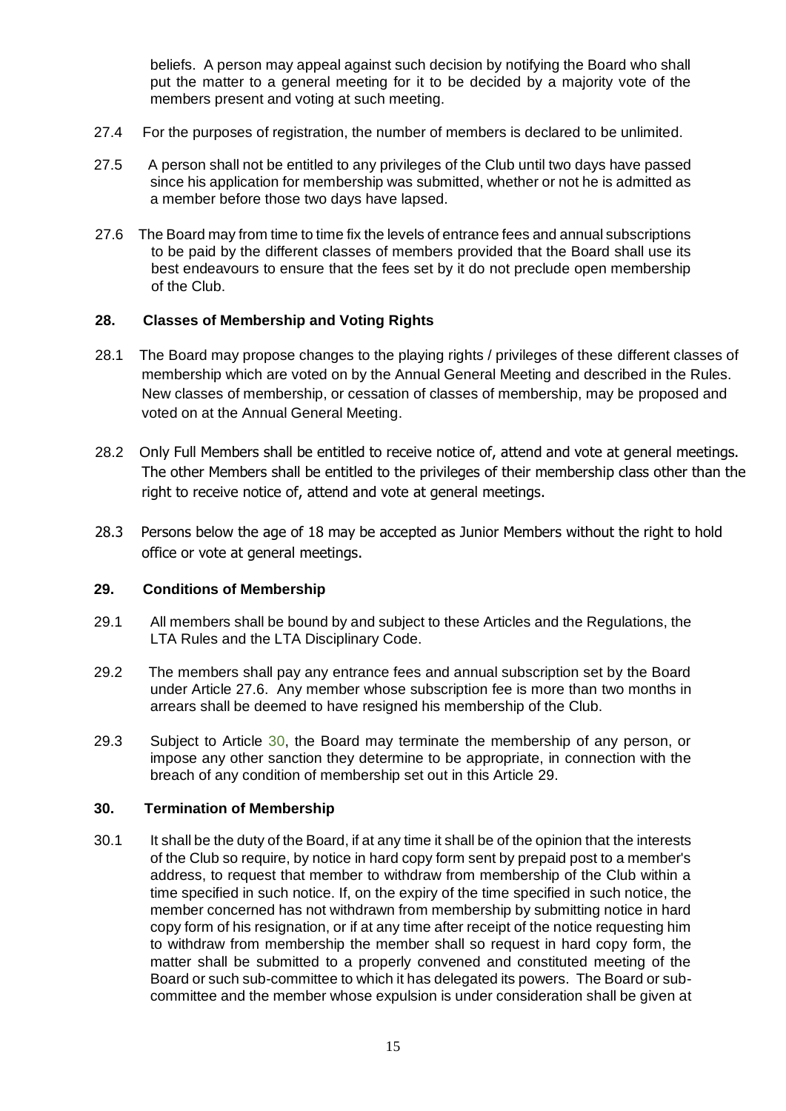beliefs. A person may appeal against such decision by notifying the Board who shall put the matter to a general meeting for it to be decided by a majority vote of the members present and voting at such meeting.

- 27.4 For the purposes of registration, the number of members is declared to be unlimited.
- 27.5 A person shall not be entitled to any privileges of the Club until two days have passed since his application for membership was submitted, whether or not he is admitted as a member before those two days have lapsed.
- 27.6 The Board may from time to time fix the levels of entrance fees and annual subscriptions to be paid by the different classes of members provided that the Board shall use its best endeavours to ensure that the fees set by it do not preclude open membership of the Club.

### **28. Classes of Membership and Voting Rights**

- 28.1 The Board may propose changes to the playing rights / privileges of these different classes of membership which are voted on by the Annual General Meeting and described in the Rules. New classes of membership, or cessation of classes of membership, may be proposed and voted on at the Annual General Meeting.
- 28.2 Only Full Members shall be entitled to receive notice of, attend and vote at general meetings. The other Members shall be entitled to the privileges of their membership class other than the right to receive notice of, attend and vote at general meetings.
- 28.3 Persons below the age of 18 may be accepted as Junior Members without the right to hold office or vote at general meetings.

### **29. Conditions of Membership**

- 29.1 All members shall be bound by and subject to these Articles and the Regulations, the LTA Rules and the LTA Disciplinary Code.
- 29.2 The members shall pay any entrance fees and annual subscription set by the Board under Article 27.6. Any member whose subscription fee is more than two months in arrears shall be deemed to have resigned his membership of the Club.
- 29.3 Subject to Article 30, the Board may terminate the membership of any person, or impose any other sanction they determine to be appropriate, in connection with the breach of any condition of membership set out in this Article 29.

### **30. Termination of Membership**

30.1 It shall be the duty of the Board, if at any time it shall be of the opinion that the interests of the Club so require, by notice in hard copy form sent by prepaid post to a member's address, to request that member to withdraw from membership of the Club within a time specified in such notice. If, on the expiry of the time specified in such notice, the member concerned has not withdrawn from membership by submitting notice in hard copy form of his resignation, or if at any time after receipt of the notice requesting him to withdraw from membership the member shall so request in hard copy form, the matter shall be submitted to a properly convened and constituted meeting of the Board or such sub-committee to which it has delegated its powers. The Board or subcommittee and the member whose expulsion is under consideration shall be given at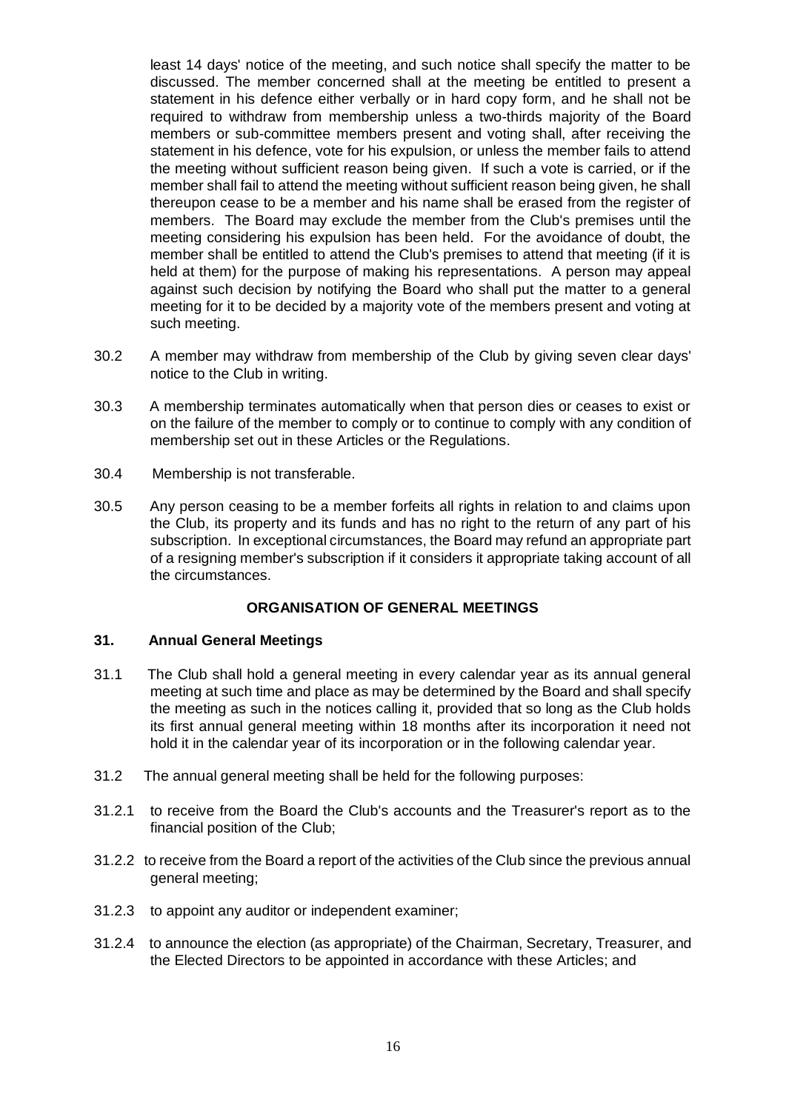least 14 days' notice of the meeting, and such notice shall specify the matter to be discussed. The member concerned shall at the meeting be entitled to present a statement in his defence either verbally or in hard copy form, and he shall not be required to withdraw from membership unless a two-thirds majority of the Board members or sub-committee members present and voting shall, after receiving the statement in his defence, vote for his expulsion, or unless the member fails to attend the meeting without sufficient reason being given. If such a vote is carried, or if the member shall fail to attend the meeting without sufficient reason being given, he shall thereupon cease to be a member and his name shall be erased from the register of members. The Board may exclude the member from the Club's premises until the meeting considering his expulsion has been held. For the avoidance of doubt, the member shall be entitled to attend the Club's premises to attend that meeting (if it is held at them) for the purpose of making his representations. A person may appeal against such decision by notifying the Board who shall put the matter to a general meeting for it to be decided by a majority vote of the members present and voting at such meeting.

- 30.2 A member may withdraw from membership of the Club by giving seven clear days' notice to the Club in writing.
- 30.3 A membership terminates automatically when that person dies or ceases to exist or on the failure of the member to comply or to continue to comply with any condition of membership set out in these Articles or the Regulations.
- 30.4 Membership is not transferable.
- 30.5 Any person ceasing to be a member forfeits all rights in relation to and claims upon the Club, its property and its funds and has no right to the return of any part of his subscription. In exceptional circumstances, the Board may refund an appropriate part of a resigning member's subscription if it considers it appropriate taking account of all the circumstances.

# **ORGANISATION OF GENERAL MEETINGS**

### **31. Annual General Meetings**

- 31.1 The Club shall hold a general meeting in every calendar year as its annual general meeting at such time and place as may be determined by the Board and shall specify the meeting as such in the notices calling it, provided that so long as the Club holds its first annual general meeting within 18 months after its incorporation it need not hold it in the calendar year of its incorporation or in the following calendar year.
- 31.2 The annual general meeting shall be held for the following purposes:
- 31.2.1 to receive from the Board the Club's accounts and the Treasurer's report as to the financial position of the Club;
- 31.2.2 to receive from the Board a report of the activities of the Club since the previous annual general meeting;
- 31.2.3 to appoint any auditor or independent examiner;
- 31.2.4 to announce the election (as appropriate) of the Chairman, Secretary, Treasurer, and the Elected Directors to be appointed in accordance with these Articles; and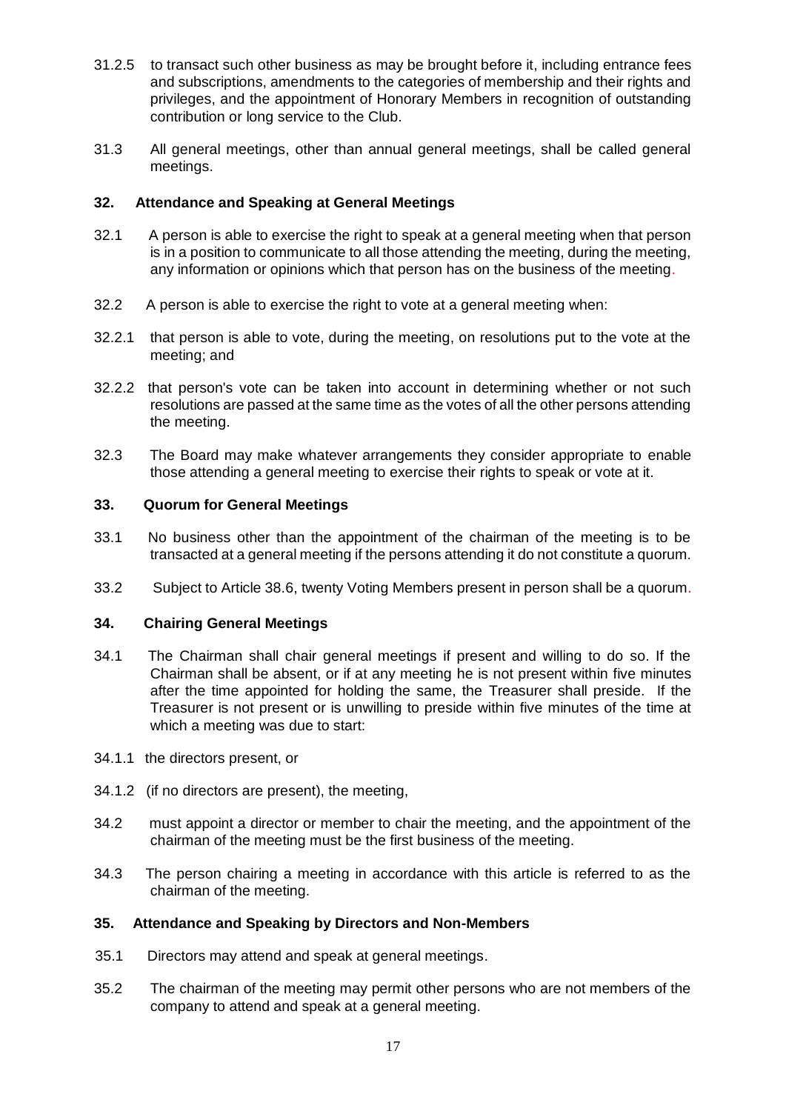- 31.2.5 to transact such other business as may be brought before it, including entrance fees and subscriptions, amendments to the categories of membership and their rights and privileges, and the appointment of Honorary Members in recognition of outstanding contribution or long service to the Club.
- 31.3 All general meetings, other than annual general meetings, shall be called general meetings.

# **32. Attendance and Speaking at General Meetings**

- 32.1 A person is able to exercise the right to speak at a general meeting when that person is in a position to communicate to all those attending the meeting, during the meeting, any information or opinions which that person has on the business of the meeting.
- 32.2 A person is able to exercise the right to vote at a general meeting when:
- 32.2.1 that person is able to vote, during the meeting, on resolutions put to the vote at the meeting; and
- 32.2.2 that person's vote can be taken into account in determining whether or not such resolutions are passed at the same time as the votes of all the other persons attending the meeting.
- 32.3 The Board may make whatever arrangements they consider appropriate to enable those attending a general meeting to exercise their rights to speak or vote at it.

# **33. Quorum for General Meetings**

- 33.1 No business other than the appointment of the chairman of the meeting is to be transacted at a general meeting if the persons attending it do not constitute a quorum.
- 33.2 Subject to Article 38.6, twenty Voting Members present in person shall be a quorum.

# **34. Chairing General Meetings**

- 34.1 The Chairman shall chair general meetings if present and willing to do so. If the Chairman shall be absent, or if at any meeting he is not present within five minutes after the time appointed for holding the same, the Treasurer shall preside. If the Treasurer is not present or is unwilling to preside within five minutes of the time at which a meeting was due to start:
- 34.1.1 the directors present, or
- 34.1.2 (if no directors are present), the meeting,
- 34.2 must appoint a director or member to chair the meeting, and the appointment of the chairman of the meeting must be the first business of the meeting.
- 34.3 The person chairing a meeting in accordance with this article is referred to as the chairman of the meeting.

# **35. Attendance and Speaking by Directors and Non-Members**

- 35.1 Directors may attend and speak at general meetings.
- 35.2 The chairman of the meeting may permit other persons who are not members of the company to attend and speak at a general meeting.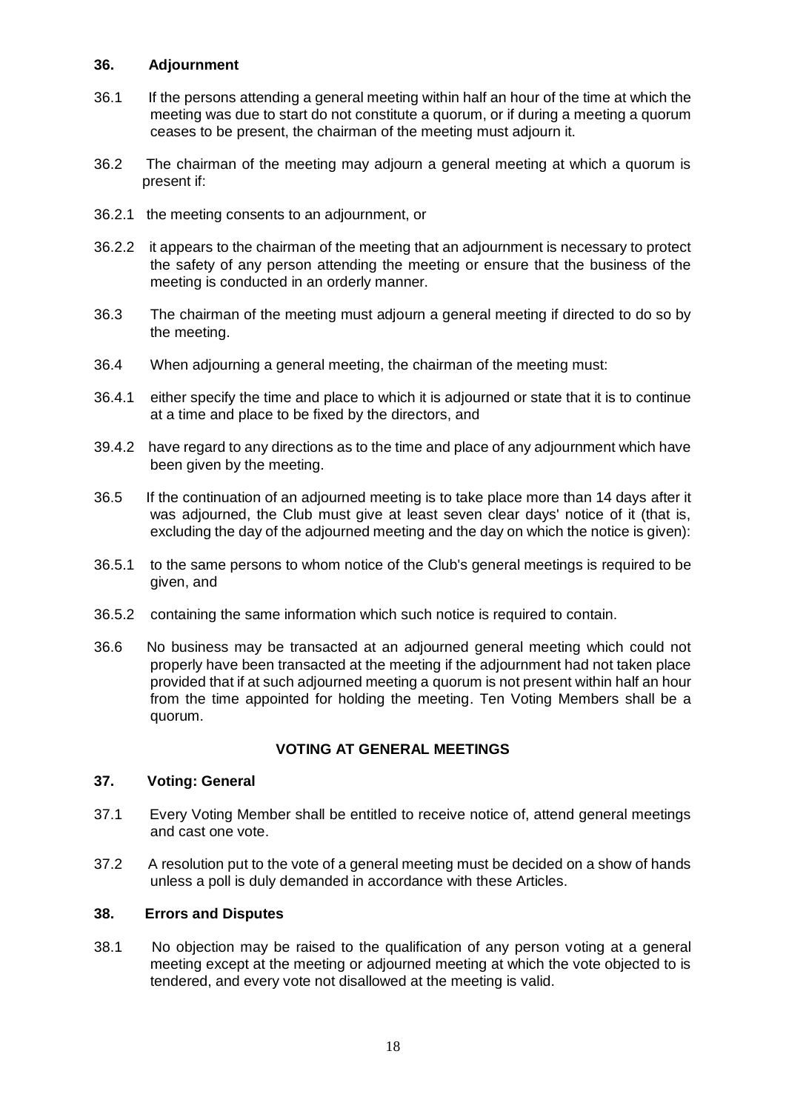# **36. Adjournment**

- 36.1 If the persons attending a general meeting within half an hour of the time at which the meeting was due to start do not constitute a quorum, or if during a meeting a quorum ceases to be present, the chairman of the meeting must adjourn it.
- 36.2 The chairman of the meeting may adjourn a general meeting at which a quorum is present if:
- 36.2.1 the meeting consents to an adjournment, or
- 36.2.2 it appears to the chairman of the meeting that an adjournment is necessary to protect the safety of any person attending the meeting or ensure that the business of the meeting is conducted in an orderly manner.
- 36.3 The chairman of the meeting must adjourn a general meeting if directed to do so by the meeting.
- 36.4 When adjourning a general meeting, the chairman of the meeting must:
- 36.4.1 either specify the time and place to which it is adjourned or state that it is to continue at a time and place to be fixed by the directors, and
- 39.4.2 have regard to any directions as to the time and place of any adjournment which have been given by the meeting.
- 36.5 If the continuation of an adjourned meeting is to take place more than 14 days after it was adjourned, the Club must give at least seven clear days' notice of it (that is, excluding the day of the adjourned meeting and the day on which the notice is given):
- 36.5.1 to the same persons to whom notice of the Club's general meetings is required to be given, and
- 36.5.2 containing the same information which such notice is required to contain.
- 36.6 No business may be transacted at an adjourned general meeting which could not properly have been transacted at the meeting if the adjournment had not taken place provided that if at such adjourned meeting a quorum is not present within half an hour from the time appointed for holding the meeting. Ten Voting Members shall be a quorum.

# **VOTING AT GENERAL MEETINGS**

### **37. Voting: General**

- 37.1 Every Voting Member shall be entitled to receive notice of, attend general meetings and cast one vote.
- 37.2 A resolution put to the vote of a general meeting must be decided on a show of hands unless a poll is duly demanded in accordance with these Articles.

### **38. Errors and Disputes**

38.1 No objection may be raised to the qualification of any person voting at a general meeting except at the meeting or adjourned meeting at which the vote objected to is tendered, and every vote not disallowed at the meeting is valid.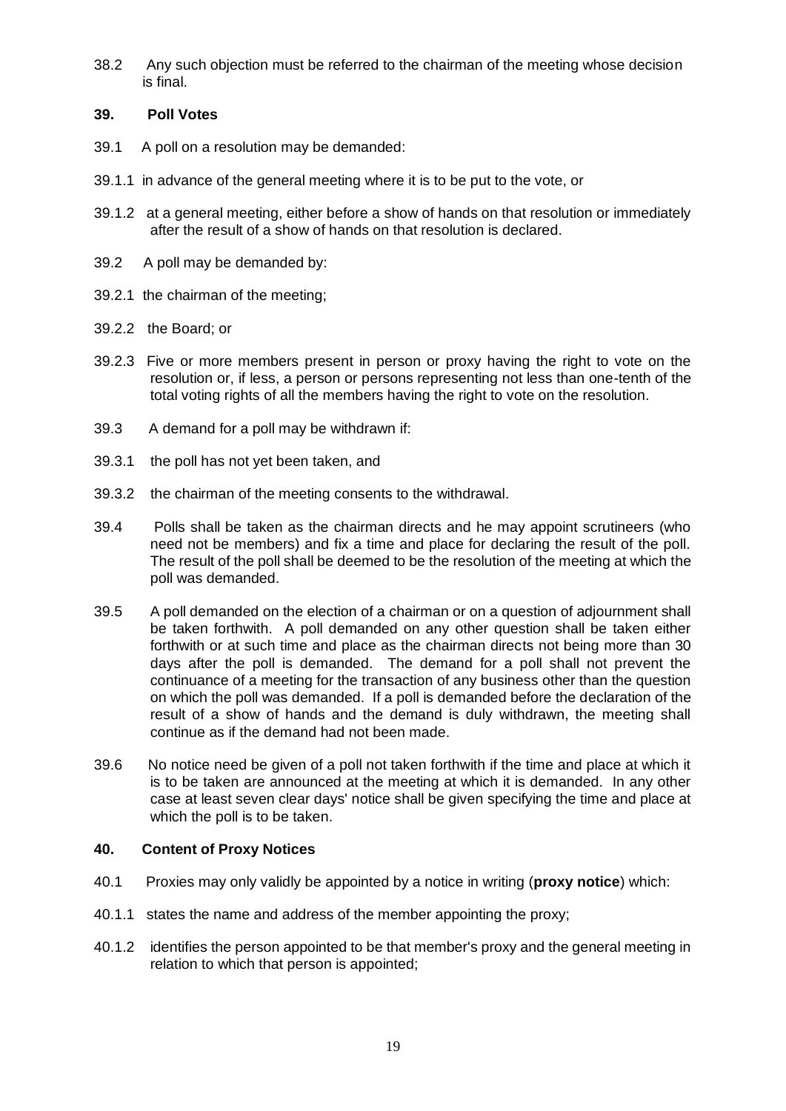38.2 Any such objection must be referred to the chairman of the meeting whose decision is final.

# **39. Poll Votes**

- 39.1 A poll on a resolution may be demanded:
- 39.1.1 in advance of the general meeting where it is to be put to the vote, or
- 39.1.2 at a general meeting, either before a show of hands on that resolution or immediately after the result of a show of hands on that resolution is declared.
- 39.2 A poll may be demanded by:
- 39.2.1 the chairman of the meeting;
- 39.2.2 the Board; or
- 39.2.3 Five or more members present in person or proxy having the right to vote on the resolution or, if less, a person or persons representing not less than one-tenth of the total voting rights of all the members having the right to vote on the resolution.
- 39.3 A demand for a poll may be withdrawn if:
- 39.3.1 the poll has not yet been taken, and
- 39.3.2 the chairman of the meeting consents to the withdrawal.
- 39.4 Polls shall be taken as the chairman directs and he may appoint scrutineers (who need not be members) and fix a time and place for declaring the result of the poll. The result of the poll shall be deemed to be the resolution of the meeting at which the poll was demanded.
- 39.5 A poll demanded on the election of a chairman or on a question of adjournment shall be taken forthwith. A poll demanded on any other question shall be taken either forthwith or at such time and place as the chairman directs not being more than 30 days after the poll is demanded. The demand for a poll shall not prevent the continuance of a meeting for the transaction of any business other than the question on which the poll was demanded. If a poll is demanded before the declaration of the result of a show of hands and the demand is duly withdrawn, the meeting shall continue as if the demand had not been made.
- 39.6 No notice need be given of a poll not taken forthwith if the time and place at which it is to be taken are announced at the meeting at which it is demanded. In any other case at least seven clear days' notice shall be given specifying the time and place at which the poll is to be taken.

# **40. Content of Proxy Notices**

- 40.1 Proxies may only validly be appointed by a notice in writing (**proxy notice**) which:
- 40.1.1 states the name and address of the member appointing the proxy;
- 40.1.2 identifies the person appointed to be that member's proxy and the general meeting in relation to which that person is appointed;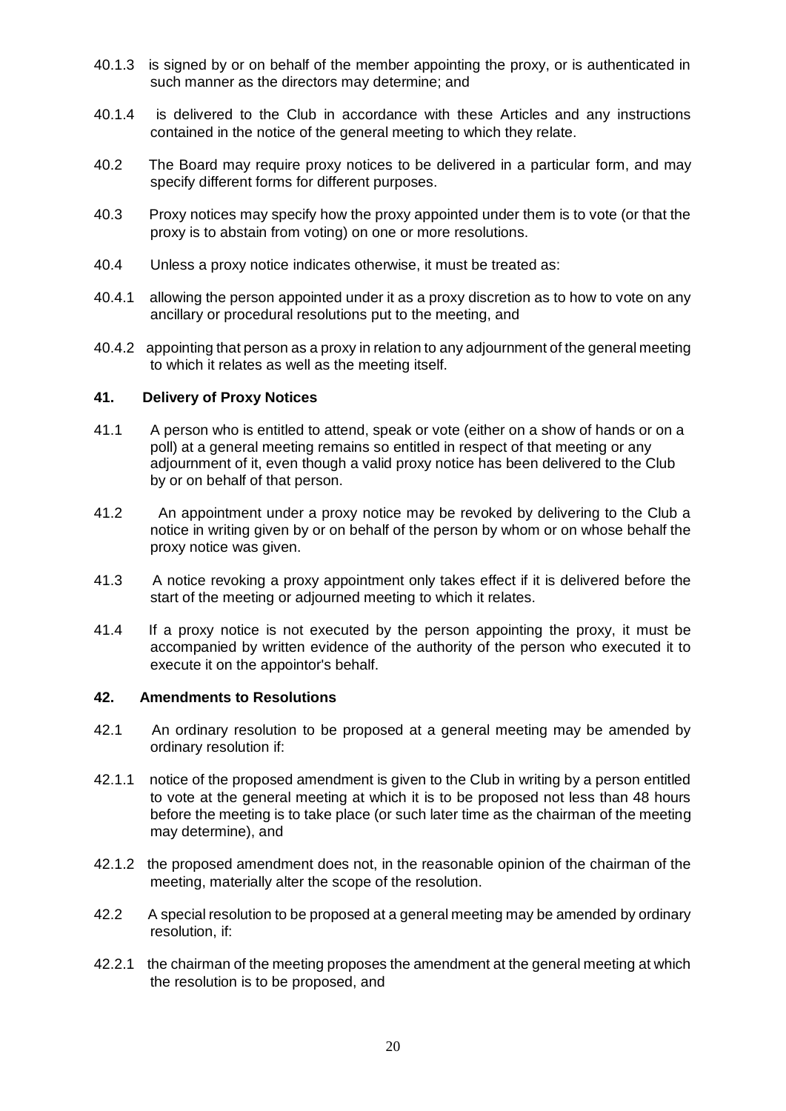- 40.1.3 is signed by or on behalf of the member appointing the proxy, or is authenticated in such manner as the directors may determine; and
- 40.1.4 is delivered to the Club in accordance with these Articles and any instructions contained in the notice of the general meeting to which they relate.
- 40.2 The Board may require proxy notices to be delivered in a particular form, and may specify different forms for different purposes.
- 40.3 Proxy notices may specify how the proxy appointed under them is to vote (or that the proxy is to abstain from voting) on one or more resolutions.
- 40.4 Unless a proxy notice indicates otherwise, it must be treated as:
- 40.4.1 allowing the person appointed under it as a proxy discretion as to how to vote on any ancillary or procedural resolutions put to the meeting, and
- 40.4.2 appointing that person as a proxy in relation to any adjournment of the general meeting to which it relates as well as the meeting itself.

### **41. Delivery of Proxy Notices**

- 41.1 A person who is entitled to attend, speak or vote (either on a show of hands or on a poll) at a general meeting remains so entitled in respect of that meeting or any adjournment of it, even though a valid proxy notice has been delivered to the Club by or on behalf of that person.
- 41.2 An appointment under a proxy notice may be revoked by delivering to the Club a notice in writing given by or on behalf of the person by whom or on whose behalf the proxy notice was given.
- 41.3 A notice revoking a proxy appointment only takes effect if it is delivered before the start of the meeting or adjourned meeting to which it relates.
- 41.4 If a proxy notice is not executed by the person appointing the proxy, it must be accompanied by written evidence of the authority of the person who executed it to execute it on the appointor's behalf.

#### **42. Amendments to Resolutions**

- 42.1 An ordinary resolution to be proposed at a general meeting may be amended by ordinary resolution if:
- 42.1.1 notice of the proposed amendment is given to the Club in writing by a person entitled to vote at the general meeting at which it is to be proposed not less than 48 hours before the meeting is to take place (or such later time as the chairman of the meeting may determine), and
- 42.1.2 the proposed amendment does not, in the reasonable opinion of the chairman of the meeting, materially alter the scope of the resolution.
- 42.2 A special resolution to be proposed at a general meeting may be amended by ordinary resolution, if:
- 42.2.1 the chairman of the meeting proposes the amendment at the general meeting at which the resolution is to be proposed, and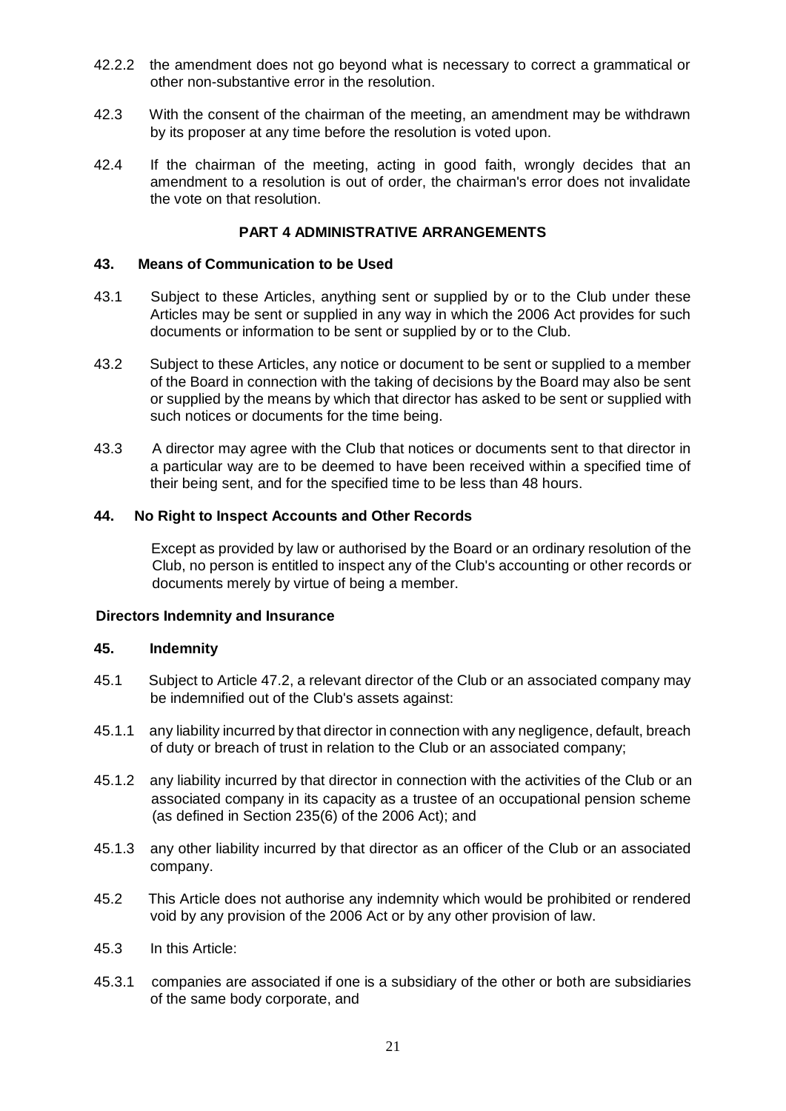- 42.2.2 the amendment does not go beyond what is necessary to correct a grammatical or other non-substantive error in the resolution.
- 42.3 With the consent of the chairman of the meeting, an amendment may be withdrawn by its proposer at any time before the resolution is voted upon.
- 42.4 If the chairman of the meeting, acting in good faith, wrongly decides that an amendment to a resolution is out of order, the chairman's error does not invalidate the vote on that resolution.

### **PART 4 ADMINISTRATIVE ARRANGEMENTS**

### **43. Means of Communication to be Used**

- 43.1 Subject to these Articles, anything sent or supplied by or to the Club under these Articles may be sent or supplied in any way in which the 2006 Act provides for such documents or information to be sent or supplied by or to the Club.
- 43.2 Subject to these Articles, any notice or document to be sent or supplied to a member of the Board in connection with the taking of decisions by the Board may also be sent or supplied by the means by which that director has asked to be sent or supplied with such notices or documents for the time being.
- 43.3 A director may agree with the Club that notices or documents sent to that director in a particular way are to be deemed to have been received within a specified time of their being sent, and for the specified time to be less than 48 hours.

# **44. No Right to Inspect Accounts and Other Records**

Except as provided by law or authorised by the Board or an ordinary resolution of the Club, no person is entitled to inspect any of the Club's accounting or other records or documents merely by virtue of being a member.

### **Directors Indemnity and Insurance**

### **45. Indemnity**

- 45.1 Subject to Article 47.2, a relevant director of the Club or an associated company may be indemnified out of the Club's assets against:
- 45.1.1 any liability incurred by that director in connection with any negligence, default, breach of duty or breach of trust in relation to the Club or an associated company;
- 45.1.2 any liability incurred by that director in connection with the activities of the Club or an associated company in its capacity as a trustee of an occupational pension scheme (as defined in Section 235(6) of the 2006 Act); and
- 45.1.3 any other liability incurred by that director as an officer of the Club or an associated company.
- 45.2 This Article does not authorise any indemnity which would be prohibited or rendered void by any provision of the 2006 Act or by any other provision of law.
- 45.3 In this Article:
- 45.3.1 companies are associated if one is a subsidiary of the other or both are subsidiaries of the same body corporate, and